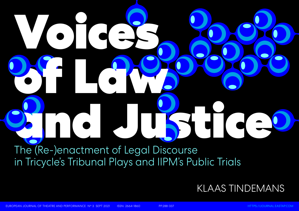# The (Re-)enactment of Legal Discourse Voices of Laws and Justice Company of the Company of the Company of the Company of the Company of the Company of the Company of the Company of the Company of the Company of the Company of the Company of the Company of the Company of the

# KLAAS TINDEMANS

in Tricycle's Tribunal Plays and IIPM's Public Trials

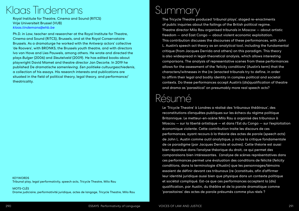# Summary

The Tricycle Theatre produced 'tribunal plays', staged re-enactments of public inquiries about the failings of the British political regime. Theatre director Milo Rau organised tribunals in Moscow — about artistic freedom — and East Congo — about violent economic exploitation. This contribution discusses the discourses of these performances, with John L. Austin's speech act theory as an analytical tool, including the fundamental critique (from Jacques Derrida and others) on this paradigm. This theory is also widespread in legal-theoretical analysis, which allows interesting comparisons. The analysis of representative scenes from these performances allows for the assessment of the 'felicity conditions' (Austin's term) that the characters/witnesses in the (re-)enacted tribunals try to define, in order to affirm their legal and bodily identity in complex political and societal contexts. Do these performances accept Austin's (dis)qualification of theatre and drama as 'parasitical' on presumably more real speech acts?

## Klaas Tindemans

Royal Institute for Theatre, Cinema and Sound (RITCS) Vrije Universiteit Brussel (VUB) *[klaas.tindemans@ehb.be](mailto:klaas.tindemans%40ehb.be?subject=)*

Ph.D. in Law, teacher and researcher at the Royal Institute for Theatre, Cinema and Sound (RITCS), Brussels, and at the Royal Conservatoire Brussels. As a dramaturge he worked with the Antwerp actors' collective 'de Roovers', with BRONKS, the Brussels youth theatre, and with directors Ivo van Hove and Lies Pauwels, among others. He wrote and directed the plays *Bulger* (2006) and *Sleutelveld* (2009). He has edited books about playwright David Mamet and theatre director Jan Decorte. In 2019 he published De *dramatische samenleving*. *Een politieke cultuurgeschiedenis*, a collection of his essays. His research interests and publications are situated in the field of political theory, legal theory, and performance/ theatricality.

**KEYWORDS** Tribunal play, legal performativity, speech acts, Tricycle Theatre, Milo Rau

# Résumé

Le 'Tricycle Theatre' à Londres a réalisé des 'tribunaux théâtraux', des reconstitutions d'enquêtes publiques sur les échecs du régime politique Britannique. Le metteur-en-scène Milo Rau a organisé des tribunaux à Moscou — sur la liberté artistique — et dans l'Est du Congo — sur l'exploitation économique violente. Cette contribution traite les discours de ces performances, ayant recours à la théorie des actes de parole (*speech acts*) de John L. Austin comme outil analytique, y inclus la critique fondamentale de ce paradigme (par Jacques Derrida et autres). Cette théorie est aussi bien répandue dans l'analyse théorique du droit, ce qui permet des comparaisons bien intéressantes. L'analyse de scènes représentatives dans ces performances permet une évaluation des conditions de félicité (*felicity conditions*, dans la terminologie d'Austin) que les personnages/témoins essaient de définir devant ces tribunaux (re-)constitués, afin d'affirmer leur identité juridique aussi bien que physique dans un contexte politique et sociétal compliqué. Est-ce que ces performances acceptent la (dis) qualification, par Austin, du théâtre et de la parole dramatique comme 'parasitaires' des actes de parole présumés comme plus réels ?

MOTS-CLÉS Drame judiciaire, performativité juridique, actes de langage, Tricycle Theatre, Milo Rau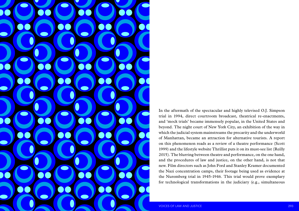

In the aftermath of the spectacular and highly televised O.J. Simpson trial in 1994, direct courtroom broadcast, theatrical re-enactments, and 'mock trials' became immensely popular, in the United States and beyond. The night court of New York City, an exhibition of the way in which the judicial system mainstreams the precarity and the underworld of Manhattan, became an attraction for alternative tourists. A report on this phenomenon reads as a review of a theatre performance (Scott 1999) and the lifestyle website Thrillist puts it on its must-see list (Reilly 2015). The blurring between theatre and performance, on the one hand, and the procedures of law and justice, on the other hand, is not that new. Film directors such as John Ford and Stanley Kramer documented the Nazi concentration camps, their footage being used as evidence at the Nuremberg trial in 1945-1946. This trial would prove exemplary for technological transformations in the judiciary (e.g., simultaneous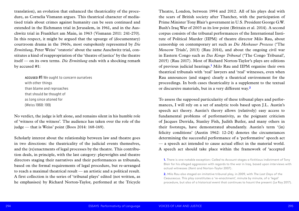Theatre, London, between 1994 and 2012. All of his plays deal with the scars of British society after Thatcher, with the participation of Prime Minister Tony Blair's government in U.S. President George G.W. Bush's Iraq War of 2003 as its low point (Brittain et al. 2014). A second corpus consists of the tribunal performances of the International Institute of Political Murder (IIPM) of theatre director Milo Rau, about censorship on contemporary art such as *Die Moskauer Prozesse* ('The Moscow Trials', 2013) (Rau 2014), and about the ongoing civil war in Eastern Congo such as *Das Kongo Tribunal* ('The Congo Tribunal', 2015) (Rau 2017). Most of Richard Norton-Taylor's plays are editions of previous judicial hearings.**<sup>1</sup>** Milo Rau and IIPM organise their own theatrical tribunals with 'real' lawyers and 'real' witnesses, even when Rau announces (and stages) clearly a theatrical environment for the proceedings. In both cases theatricality is a supplement to the textual or discursive materials, but in a very different way.**<sup>2</sup>**

No verdict, the judge is left alone, and remains silent in his humble role of 'witness of the witness'. The audience has taken over the role of the judge — that is Weiss' point (Boos 2014: 168-169).

To assess the supposed particularity of these tribunal plays and performances, I will rely on a set of analytic tools based upon J.L. Austin's speech act theory. Austin's theory allows (relatively) easy access to fundamental problems of performativity, as the poignant criticism of Jacques Derrida, Stanley Fish, Judith Butler, and many others in their footsteps, have demonstrated abundantly. Austin's term '(in) felicity conditions' (Austin 1962: 12-24) denotes the circumstances determining the successful performance of a 'performative' speech act — a speech act intended to cause actual effect in the material world. A speech act should take place within the framework of 'accepted

translation), an evolution that enhanced the theatricality of the procedure, as Cornelia Vismann argues. This theatrical character of mediatised trials about crimes against humanity can be seen continued and extended in the Eichmann trial in Jerusalem, in 1961, and in the Auschwitz trial in Frankfurt am Main, in 1963 (Vismann 2011: 241-270). In this respect, it might be argued that the upsurge of (documentary) courtroom drama in the 1960s, most outspokenly represented by *Die Ermittlung*, Peter Weiss' 'oratorio' about the same Auschwitz trial, constitutes a kind of reappropriation of the 'theatre of justice' by the theatre itself — on its own terms. *Die Ermittlung* ends with a shocking remark by accused #1:

accused #1 We ought to concern ourselves with other things than blame and reproaches that should be thought of as long since atoned for (Weiss 1968: 199)

Scholarly interest about the relationship between law and theatre goes in two directions: the theatricality of the judicial events themselves, and the (re)enactments of legal processes by the theatre. This contribution deals, in principle, with the last category: playwrights and theatre directors staging their narratives and their performances as tribunals, based on the formal requirements of legal procedure, but re-arranged to reach a maximal theatrical result — an artistic and a political result. A first collection is the series of 'tribunal plays' edited (not written, as he emphasises) by Richard Norton-Taylor, performed at the Tricycle

**1.** There is one notable exception: *Called to Account* stages a fictitious indictment of Tony Blair for his alleged aggression with regards to the war in Iraq, based upon interviews with

**2.** Milo Rau also staged an imitative tribunal play, in 2009, with *The Last Days of the*  procedure, but also of a historical event that continues to haunt the present (Le Roy 2017).

actual witnesses (Kent and Norton-Taylor 2007).

*Ceaucescus*. This play constitutes a 're-enactment', minute by minute, of a 'legal'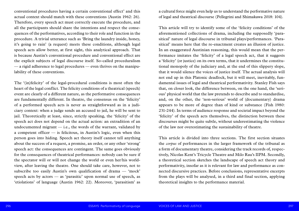a cultural force might even help us to understand the performative nature of legal and theatrical discourse (Pellegrini and Shimakawa 2018: 104).

This article will try to identify some of the 'felicity conditions' of the aforementioned collections of drama, including the supposedly 'parasitical' nature of legal discourse in tribunal plays/performances. 'Parasitical' means here that the re-enactment creates an illusion of justice. In an exaggerated Austinian reasoning, this would mean that the performance imitates the 'felicity' of a legal speech act, that it suggests a 'felicity' (or justice) on its own terms, that it undermines the constitutional monopoly of the judiciary and, at the end of this slippery slope, that it would silence the voices of justice itself. The actual analysis will not end up in this Platonic deadlock, but it will meet, inevitably, fundamental issues of legal and theatrical performativity. Stanley Fish says that, on closer look, the difference between, on the one hand, the 'serious' physical world that the law pretends to describe and to standardise, and, on the other, the 'non-serious' world of (documentary) drama appears to be more of degree than of kind or substance (Fish 1980: 231-244). In terms of audience response and societal impact beyond the 'felicity' of the speech acts themselves, the distinction between these discourses might be quite subtle, without underestimating the violence of the law nor overestimating the sustainability of theatre.

This article is divided into three sections. The first section situates the *corpus* of performances in the larger framework of the tribunal as a form of documentary theatre, considering the track records of, respectively, Nicolas Kent's Tricycle Theatre and Milo Rau's IIPM. Secondly, a theoretical section sketches the landscape of speech act theory and performativity, insofar as it is relevant for law and performance as connected discursive practices. Before conclusions, representative excerpts from the plays will be analysed, in a third and final section, applying theoretical insights to the performance material.

conventional procedures having a certain conventional effect' and this actual context should match with these conventions (Austin 1962: 26). Therefore, every speech act must correctly execute the procedure, and all the participants should share the intentions and respect the consequences of the performatives, according to their role and function in the procedure. A trivial utterance such as 'Bring the laundry inside, honey, it's going to rain' (a request) meets these conditions, although legal speech acts allow better, at first sight, this analytical approach. That is because Austin's conventional procedure and conventional effect are the explicit subjects of legal discourse itself. So-called proceduralism — a rigid adherence to legal procedures — even thrives on the manipulability of these conventions.

The '(in)felicity' of the legal-procedural conditions is most often the heart of the legal conflict. The felicity conditions of a theatrical (speech) event are clearly of a different nature, as the performative consequences are fundamentally different. In theatre, the consensus on the 'felicity' of a performed speech acts is never as straightforward as in a judiciary context: when a judge sends an accused to jail, he will be sent to jail. Theoretically at least, since, strictly speaking, the 'felicity' of the speech act does not depend on the actual action: an extradition of an undocumented migrant  $-$  i.e., the words of the warrant, validated by a competent officer — is felicitous, in Austin's logic, even when this person goes into hiding. Speech act theory itself cannot tell anything about the success of a request, a promise, an order, or any other 'strong' speech act: the consequences are contingent. The same goes obviously for the consequences of theatrical performances: nobody can be sure if the spectator will or will not change the world or even her/his worldview, after leaving the theatre. One should take care, however, not to subscribe too easily Austin's own qualification of drama — 'mock' speech acts by actors — as 'parasitic' upon normal use of speech, as 'etiolations' of language (Austin 1962: 22). Moreover, 'parasitism' as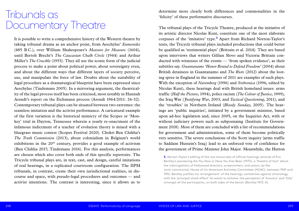determine more clearly both differences and commonalities in the 'felicity' of these performative discourses.

The tribunal plays of the Tricycle Theatre, produced at the initiative of its artistic director Nicolas Kent, constitute one of the most elaborate corpuses of the 'imitative' type.**<sup>3</sup>** Apart from Richard Norton-Taylor's texts, the Tricycle tribunal plays included productions that could better be qualified as 'testimonial plays' (Brittain et al. 2014). They are based upon interviews that writers Gillian Slovo and Victoria Brittain conducted with witnesses of the events — 'from spoken evidence', as their subtitles say. *Guantanamo 'Honor Bound to Defend Freedom'* (2004) about British detainees in Guantanamo and *The Riots* (2012) about the looting spree in England in the summer of 2011 are examples of such plays. With the exception of *Nuremberg* (1996) and *Srebrenica* (1996, edited by Nicolas Kent), these hearings deal with British homeland issues: arms traffic (*Half the Picture*, 1994), police racism (*The Colour of Justice*, 1999), the Iraq War (*Justifying War*, 2003, and *Tactical Questioning*, 2011), and the 'troubles' in Northern Ireland (*Bloody Sunday*, 2005). The hearings are 'public inquiries', initiated by a government minister, based upon ad-hoc legislation and, since 2005, on the Inquiries Act, with or without judiciary powers such as subpoenaing (Institute for Government 2018). Most of them are concluded with a list of recommendations for government and administration, some of them become politically very sensitive. The severe conclusions of the Scott inquiry (arms traffic to Saddam Hussein's Iraq) lead to an enforced vote of confidence for the government of Prime Minister John Major. Meanwhile, the Hutton

It is possible to write a comprehensive history of the Western theatre by taking tribunal drama as an anchor point, from Aeschylus' *Eumenides* (485 B.C.), over William Shakespeare's *Measure for Measure* (1604), until Bertolt Brecht's *The Caucasian Chalk Circle* (1944) and Arthur Miller's *The Crucible* (1953). They all use the iconic form of the judicial process to make a point about political power, about sovereignty even, and about the different ways that different layers of society perceive, use, and manipulate the force of law. Doubts about the suitability of legal procedure as a dramaturgical blueprint have been expressed since Aeschylus (Tindemans 2005). In a mirroring argument, the theatricality of the legal process itself has been criticised, most notably in Hannah Arendt's report on the Eichmann process (Arendt 1964/2011: 26-32). Contemporary tribunal plays can be situated between two extremes: the seamless imitation and the activist performance. A caricatural example of the first variation is the historical mimicry of the Scopes or 'Monkey' trial in Dayton, Tennessee wherein a yearly re-enactment of the infamous indictment of a teacher of evolution theory is mixed with a bluegrass music contest (Scopes Festival 2020). Chokri Ben Chikha's *The Truth Commission* (2013), about colonialism in Belgium's world exhibitions in the  $20<sup>th</sup>$  century, provides a good example of activism (Ben Chikha 2017; Tindemans 2016). For this analysis, performances are chosen which also cover both ends of this specific repertoire. The Tricycle tribunal plays are, in text, cast, and design, careful imitations of real hearings, in a replicated courtroom configuration. The IIPM tribunals, in contrast, create their own jurisdictional realities, in discourse and space, with pseudo-legal procedures and outcomes — and activist intentions. The contrast is interesting, since it allows us to

## Tribunals as Documentary Theatre

**3.** Norton-Taylor's editing of the raw transcripts of official hearings reminds of Eric Bentley's pioneering *Are You Now or Have You Ever Been* (1973), a 'theatre of fact' about the interrogations of Hollywood directors, screenwriters, and actors, by the (anti-communist) House of Un-American Activities Committee (HUAC), between 1947 and 1952. Bentley justifies his 'arrangement' of the hearings, sometimes against chronology, with the 'principal shock effect' he wants to achieve: the perception of 'knavery' and 'folly' amongst all the participants, on both sides of the bench (Bentley 1972: X).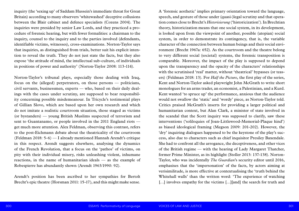A 'forensic aesthetic' implies primary orientation toward the language, speech, and gesture of those under (quasi-)legal scrutiny and that operation comes close to Brecht's *Historisierung* ('historicization'). In Brechtian theory, historicization means that one social system, in its development, is looked upon from the viewpoint of another, possible (utopian) social system, in order to demonstrate its contingency, that is, the variable character of the connection between human beings and their social environment (Brecht 1967a: 652). As the courtroom and the theatre belong to very different social (societal) systems, the forensic transposition is comparable. Moreover, the impact of the play is supposed to depend upon the transparency and the opacity of the characters' relationships with the scrutinised 'real' matter, without 'theatrical' bypasses (or teasers) (Feldman 2018: 13). For *Half the Picture*, the first play of the series, Kent and Norton-Taylor asked playwright John McGrath to write short monologues for an arms trader, an economist, a Palestinian, and a Kurd. Kent wanted 'to spruce up' the performance, anxious that the audience would not swallow the 'static' and 'wordy' piece, as Norton-Taylor told. Critics praised McGrath's inserts for providing a larger political and humanitarian context, but Alan Clark, a minister of state involved in the scandal that the Scott inquiry was supposed to clarify, saw these interventions ('soliloquies of Joan-Littlewood-Memorial-Plaque kind') as biased ideological framing (Megson 2009: 201-202). However, the 'dry' inquiring dialogues happened to be the keystone of the play's success, also due to characters such as chief inquisitor Presiley Baxendale. She had to confront all the arrogance, the deceptiveness, and other vices of the British regime — with the hearing of Lady Margaret Thatcher, former Prime Minister, as its highlight (Stoller 2013: 137-138). Norton-Taylor, who was incidentally *The Guardian*'s security editor until 2016, emphasises that the 'impersonation' of the facts, by actors aiming at verisimilitude, is more effective at contextualising the 'truth behind the Whitehall walls' than the written word: 'The experience of watching [...] involves empathy for the victims [...][and] the search for truth and

inquiry (the 'sexing up' of Saddam Hussein's immediate threat for Great Britain) according to many observers 'whitewashed' deceptive collusions between the Blair cabinet and defence specialists (Cozens 2004). The inquiries were presided by senior Law Lords, and they practiced a procedure of forensic hearing, but with fewer formalities: a chairman to the inquiry, counsel to the inquiry and to the parties involved (defendants, identifiable victims, witnesses), cross-examinations. Norton-Taylor says that inquiries, as distinguished from trials, better suit his explicit intention to reveal the truth. They do not just state the facts, but they also expose 'the attitude of mind, the intellectual sub-culture, of individuals in positions of power and authority' (Norton-Taylor 2008: 113-114).

Norton-Taylor's tribunal plays, especially those dealing with Iraq, focus on the (alleged) perpetrators, on those persons — politicians, civil servants, businessmen, experts — who, based on their daily dealings with the cases under scrutiny, are supposed to bear responsibility concerning possible misdemeanour. In Tricycle's testimonial plays of Gillian Slovo, which are based upon her own research and which do not imitate a realistic courtroom situation, those staged as victims (or bystanders) — young British Muslims suspected of terrorism and sent to Guantanamo, or people involved in the 2011 England riots get much more attention. Alex Feldman, observing this contrast, refers to the post-Eichmann debate about the theatricality of the courtroom (Feldman 2018: 5-6) — I already mentioned Hannah Arendt's critique in this respect. Arendt suggests elsewhere, analysing the dynamics of the French Revolution, that a focus on the 'pathos' of victims, on pity with their individual misery, risks unleashing violent, inhumane reactions, in the name of humanitarian ideals — as the example of Robespierre has abundantly shown (Arendt 1963/1990: 92).

Arendt's position has been ascribed to her sympathies for Bertolt Brecht's epic theatre (Horsman 2011: 15-17), and this might make sense.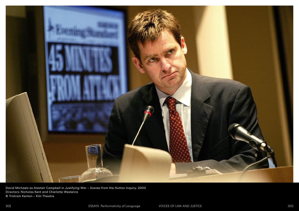

David Michaels as Alastair Campbell in *Justifying War – Scenes from the Hutton Inquiry*, 2003 Directors: Nicholas Kent and Charlotte Westenra © Tristram Kenton – Kiln Theatre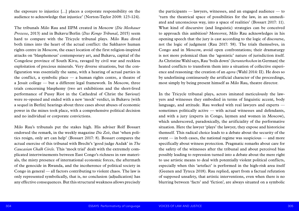the participants — lawyers, witnesses, and an engaged audience — to 'turn the theatrical space of possibilities for the law, in an unmediated and unconscious way, into a space of realities' (Bossart 2017: 11). What kind of discursive (and linguistic) strategies can be conceived to approach this ambition? Moreover, Milo Rau acknowledges in his opening speech that the jury is cast according to the logic of discourse, not the logic of judgment (Rau 2017: 58). The trials themselves, in Congo and in Moscow, avoid open confrontations; their dramaturgy is not more polemical than the 'agonistic' nature of jurisdiction itself. As Christine Wahl says, Rau 'boils down' (*herunterkochen* in German) the heated conflicts to transform them into a situation of collective experience and reasoning: the creation of an *agora* (Wahl 2014: II). He does so by underlining continuously the artificial character of the proceedings, most simply by being present himself as Milo Rau, theatre director.

In the Tricycle tribunal plays, actors imitated meticulously the lawyers and witnesses they embodied in terms of linguistic accent, body language, and attitude. Rau worked with real lawyers and experts sometimes politically active — with actual witnesses and defendants, and with a jury (experts in Congo, laymen and women in Moscow), which underscored, paradoxically, the artificiality of the performative situation. Here the lawyer 'plays' the lawyer, they expose and historicise themself. This radical choice leads to a debate about the security of the event — in both cases, the national regime was suspicious — and more specifically about witness protection. Pragmatic remarks about care for the safety of the witnesses after the tribunal and about perceived bias possibly leading to repression turned into a debate about the mere right to use artistic means to deal with potentially violent political conflicts, especially when this 'artefact' is performed in the high-risk area itself (Geenen and Tyteca 2018). Rau replied, apart from a factual refutation of supposed unsafety, that artistic interventions, even when there is no blurring between 'facts' and 'fiction', are always situated on a symbolic

the exposure to injustice […] places a corporate responsibility on the audience to acknowledge that injustice' (Norton-Taylor 2008: 123-124).

The tribunals Milo Rau and IIPM created in Moscow (*Die Moskauer Prozesse*, 2013) and in Bukavu/Berlin (*Das Kongo Tribunal*, 2015) seem hard to compare with the Tricycle tribunal plays. Milo Rau dived both times into the heart of the actual conflict: the Sakharov human rights centre in Moscow, the exact location of the first religion-inspired attacks on 'blasphemous' contemporary art, and Bukavu, capital of the Congolese province of South Kivu, ravaged by civil war and reckless exploitation of precious minerals. Very diverse situations, but the configuration was essentially the same, with a hearing of actual parties in the conflict, a symbolic place — a human rights centre, a theatre of a Jesuit college — but a different legal framework. In Moscow, three trials concerning blasphemy (two art exhibitions and the short-lived performance of Pussy Riot in the Cathedral of Christ the Saviour) were re-opened and ended with a new 'mock' verdict, in Bukavu (with a sequel in Berlin) hearings about three cases about abuses of economic power in the mines took place, with a comprehensive political decision and no individual or corporate convictions.

Milo Rau's tribunals put the stakes high. His adviser Rolf Bossart endorsed the remark, in the weekly magazine *Die Zeit*, that 'when politics resign, only art can help' (Bossart 2017: 8). Bossart compares the actual exercise of this tribunal with Brecht's 'good judge Azdak' in *The Caucasian Chalk Circle*. This 'mock trial' dealt with the extremely complicated intertwinements between East Congo's richness in raw materials, the misty presence of international economic forces, the aftermath of the genocide in Rwanda, and the incoherence of political society in Congo in general — all factors contributing to violent chaos. The law is only represented symbolically, that is, no conclusion (adjudication) has any effective consequences. But this structural weakness allows precisely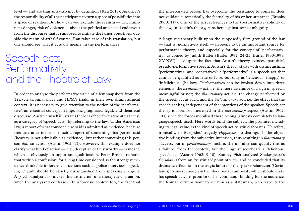the interrogated person has overcome the resistance to confess, does not validate automatically the factuality of his or her utterance (Brooks 2000: 117). One of the first references to the (performative) solidity of the law, in Austin's theory, runs here against some ambiguity.

A linguistic theory built upon the supposedly firm ground of the law — that is, normativity itself — happens to be an important source for performance theory, and especially for the concept of 'performativity', as coined by Judith Butler (Butler 1997: 24-25; Butler 1990/1999: XV-XVI) — despite the fact that Austin's theory evinces 'parasitic', pseudo-performative speech. Austin's theory starts with distinguishing 'performatives' and 'constatives': a 'performative' is a speech act that cannot be qualified as true or false, but only as 'felicitous' (happy) or 'infelicitous' (hollow). Performatives can be broken down into three elements: the *locutionary* act, i.e. the mere utterance of a sign in speech, meaningful or not; the *illocutionary* act, i.e. the change performed by the speech act as such; and the *perlocutionary* act, i.e. the effect that the speech act has, independent of the intentions of the speaker. Speech act theory is foremost interested in the *illocutionary* aspect (Austin 1962: 103) since the forces mobilised there belong (almost) completely to language/speech itself. Here words bind the subject: the promise, including its legal value, is the kind of speech act Austin elaborates. He refers, ironically, to Euripides' tragedy *Hippolytos*, to distinguish the objective binding from the subjective intention, thus resulting in *illocutionary*  success, but in *perlocutionary* misfire: the moralist can qualify this as a failure, from the context, but the linguist sees/hears a 'felicitous' speech act (Austin 1962: 9-10). Stanley Fish analysed Shakespeare's *Coriolanus* from an 'Austinian' point of view, and he concluded that its dramatic effect lies in the tragic failure of the speaker/character (Coriolanus) to invest enough in the illocutionary authority which should make his speech act, his promise or his command, binding for the audience: the Roman citizens want to see him as a statesman, who respects the

level — and are thus unsatisfying, by definition (Rau 2018). Again, it's the responsibility of all the participants to turn a space of possibilities into a space of realities. But how can you exclude the realism — i.e., imminent danger, risk of violence — about the political and social endeavour from the discourse that is supposed to initiate the larger objectives, outside the realm of art? Of course, Rau takes care of this translation, but one should see what it actually means, in the performances.

In order to analyse the performative value of a few snapshots from the Tricycle tribunal plays and IIPM's trials, in their own dramaturgical context, it is necessary to give attention to the notion of the 'performative', an essential concept in linguistic-pragmatic, legal, and theatrical discourse. Austin himself illustrates the idea of 'performative utterances', as a category of 'speech acts', by referring to the law. Under American law, a report of what someone else said is admitted as evidence, because this utterance is not so much a report of something this person said (hearsay is not admissible as evidence), but rather something this person *did*, an action (Austin 1962: 13). However, this example does not clarify what kind of action — e.g., deceptive or trustworthy — is meant, which is obviously an important qualification. Peter Brooks remarks that within a confession, for a long time considered as the strongest evidence thinkable in forensic situations such as police interviews, speaking *of* guilt should be strictly distinguished from speaking *the* guilt. A psychoanalyst also makes this distinction in a therapeutic situation, when the analysand confesses. In a forensic context too, the fact that

## Speech acts, Performativity, and the Theatre of Law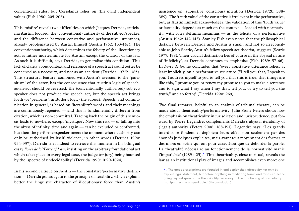insistence on (subjective, conscious) intention (Derrida 1972b: 388- 389). The 'truth value' of the constative is irrelevant in the performative, but, as Austin himself acknowledges, the validation of this 'truth value' or factuality depends as much on the context — loaded with normativity, with rules defining meanings — as the felicity of a performative (Austin 1962: 142-143). Stanley Fish even notes that the philosophical distance between Derrida and Austin is small, and not so irreconcilable as John Searle, Austin's fellow speech act theorist, suggests (Searle 1977: 198). Their crucial distinction lies of course in the abyssal nature of 'infelicity', as Derrida continues to emphasise (Fish 1989: 57-66). In *Force de loi*, he concludes that 'every constative utterance relies, at least implicitly, on a performative structure ("I tell you that, I speak to you, I address myself to you to tell you that this is true, that things are like this, I promise you or renew my promise to you to make a sentence and to sign what I say when I say that, tell you, or try to tell you the truth," and so forth)' (Derrida 1990: 969).

Two final remarks, helpful to an analysis of tribunal theatre, can be made about theatricality/performativity. Julie Stone Peters shows how the emphasis on theatricality in jurisdiction and jurisprudence, put forward by Pierre Legendre, complements Derrida's abyssal iterability of (legal) authority (Peters 2008: 188-191). Legendre says: 'Les grands interdits se fondent et déploient leurs effets non seulement par des énoncés juridiques explicites, mais avant tout moyennant des formes et des mises en scène qui ont pour caractéristique de déborder la parole. La théâtralité nécessaire au fonctionnement de la normativité manie l'imparlable' (1989 : 25).**<sup>4</sup>** This theatricality, close to ritual, reveals the law as an institutional play of images and accomplishes even more: one

conventional rules, but Coriolanus relies on (his own) independent values (Fish 1980: 205-206).

This 'misfire' reveals two difficulties on which Jacques Derrida, criticising Austin, focused: the (conventional) authority of the subject/speaker, and the difference between constative and performative utterances, already problematised by Austin himself (Austin 1962: 133-147). The convention/authority, which determines the felicity of the illocutionary act, is rather indeterminate for Austin, except the citation of the law. As such it is difficult, says Derrida, to generalise this condition. This lack of clarity about context and reference of a speech act could better be conceived as a necessity, and not as an accident (Derrida 1972b: 385). This structural feature, combined with Austin's aversion to the 'parasitism' of the actor, has the consequence that Austin's logic of speechas-an-act should be reversed: the (conventionally authorised) subject/ speaker does not produce the speech act, but the speech act brings forth (or 'performs', in Butler's logic) the subject. Speech, and communication in general, is based on 'iterability': words and their meanings are continuously repeated — and this is fundamentally different from citation, which is non-committal. Tracing back the origin of this semiosis leads to nowhere, except 'mystique'. Now this risk — of falling into the abyss of infinity, time and again — can be excluded or confronted, but then the performer/speaker meets the moment where authority can only be authorised by itself: violence, in other words (Derrida 1990: 934-937). Derrida tries indeed to retrieve this moment in his bilingual essay *Force de loi/Force of Law*, insisting on the arbitrary foundational act which takes place in every legal case, the judge (or jury) being haunted by the 'spectre of undecidability' (Derrida 1990: 1020-1024).

In his second critique on Austin — the constative/performative distinction — Derrida points again to the principle of iterability, which explains better the linguistic character of illocutionary force than Austin's

**<sup>4.</sup>** 'The great proscriptions are founded in and deploy their effectivity not only by explicit legal statement, but before anything in mediating forms and mises-en-scene, going beyond speech. The theatricality necessary to the functioning of normativity manipulates the unspeakable.' (My translation)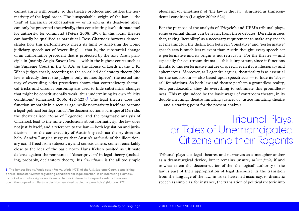pleonasm (or emptiness) of 'the law is the law', disguised as transcendental condition (Laugier 2004: 624).

For the purpose of the analysis of Tricycle's and IIPM's tribunal plays, some essential things can be learnt from these debates. Derrida argues that, taking 'iterability' as a necessary requirement to make any speech act meaningful, the distinction between 'constative' and 'performative' speech acts is much less relevant than Austin thought: every speech act is performative and its origin is not retracable. For the theatre — and especially for courtroom drama — this is important, since it functions thanks to this performative nature of speech, even if it is illusionary and ephemerous. Moreover, as Legendre argues, theatricality is as essential for the courtroom — also based upon speech acts — to hide its 'abyssal' foundations. So both law and theatre perform a groundless reality, but, paradoxically, they do everything to sublimate this groundlessness. This might indeed be the basic wager of courtroom theatre, in its double meaning: theatre imitating justice, or justice imitating theatre — and a starting point for the present analysis.

Tribunal plays use legal theatres and narratives as a metaphor and/or as a dramaturgical device, but it remains unsure, *prima facie*, if and to what extent this deconstruction of the 'theological' authority of the law is part of their appropriation of legal discourse. Is the transition from the language of the law, in its self-asserted accuracy, to dramatic speech as simple as, for instance, the translation of political rhetoric into

cannot argue with beauty, so this theatre produces and ratifies the normativity of the legal order. The 'unspeakable' origin of the law  $-$  the 'real' of Lacanian psychoanalysis — or its *aporia*, its dead-end alley, can only be presented theatrically, thus constituting law's ultimate tool for authority, for command (Peters 2008: 190). In this logic, theatre can hardly be qualified as parasitical. Ross Charnock however demonstrates how this performativity meets its limit by analysing the iconic judiciary speech act of 'overruling' — that is, the substantial change of an authoritative precedent that is protected by the *stare decisis* principle in (mainly Anglo-Saxon) law — within the highest courts such as the Supreme Court in the U.S.A. or the House of Lords in the U.K. When judges speak, according to the so-called declaratory theory (the law is already there, the judge is only its mouthpiece), the actual history of overruling older precedents shows that contradictory rhetorical tricks and circular reasoning are used to hide substantial changes that might be constitutionally weak, thus undermining its own 'felicity conditions' (Charnock 2006: 422-423).**<sup>5</sup>** The legal theatre does not function smoothly in a secular age, while normativity itself has become a legal-political battleground. The deconstructionist critique of Derrida, the theatricalised *aporia* of Legendre, and the pragmatic analysis of Charnock lead to the same conclusions about normativity: the law does not justify itself, and a reference to the law — both legislation and jurisdiction — to the contextuality of Austin's speech act theory does not help. Sandra Laugier suggests that Austin's *rationale* of the illocutionary act, if freed from subjectivity and consciousness, comes remarkably close to the idea of the basic norm Hans Kelsen posited as ultimate defense against the remnants of 'descriptivism' in legal theory (including, probably, declaratory theory): his *Grundnorm* is the all too simple

**5.** The famous Roe vs. Wade case (Roe vs. Wade 1973) of the U.S. Supreme Court, establishing a three-trimester system regulating conditions for legal abortion, is an interesting example. Its lack of normative rigour (or its mere rhetoric) allowed subsequent verdicts to narrow down the scope of a milestone decision perceived as clearly 'pro-choice' (Morgan 1977).

Tribunal Plays, or Tales of Unemancipated Citizens and their Regents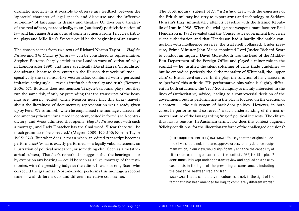The Scott inquiry, subject of *Half a Picture*, dealt with the eagerness of the British military industry to export arms and technology to Saddam Hussain's Iraq, immediately after its ceasefire with the Islamic Republic of Iran in 1988. When the trial against weapons manufacturer Paul Henderson in 1992 revealed that the Conservative government had given silent authorisation and that Henderson had a hardly disclosable connection with intelligence services, the trial itself collapsed. Under pressure, Prime Minister John Major appointed Lord Justice Richard Scott to conduct an inquiry. David Gore-Booth was the head of the Middle-East Department of the Foreign Office and played a minor role in the scandal — he justified the silent softening of arms trade guidelines but he embodied perfectly the elitist mentality of Whitehall, the 'upper class' of British civil service. In the play, the function of his character is to 'perform' this attitude. His performative plus-value is slightly different in both situations: the 'real' Scott inquiry is mainly interested in the lines of (authoritative) advice, leading to a controversial decision of the government, but his performance in the play is focused on the creation of a context — the sub-system of back-door politics. However, in both cases, he performs (and so reveals) a tacit understanding of the instrumental nature of the law regarding 'major' political interests. The elitism thus has its reasons. In Austinian terms: how does this context augment 'felicity conditions' for the illocutionary force of the challenged decisions?

[chief inquisitor presiley] baxendale You say that the original guide-

## line 3 ['we should not, in future, approve orders for any defence equipment which, in our view, would significantly enhance the capability of either side to prolong or exacerbate the conflict', 1985] is still in place? gore-booth It is kept under constant review and applied on a case by case basis in the light of the prevailing circumstances, including the ceasefire [between Iraq and Iran]. baxendale That is completely ridiculous, is it not, in the light of the fact that it has been amended for Iraq, to completely different words?

dramatic spectacle? Is it possible to observe any feedback between the 'aporetic' character of legal speech and discourse and the 'affective autonomy' of language in drama and theatre? Or does legal theatreof-the-real adhere, paradoxically, to an (outdated) positivistic notion of law and language? An analysis of some fragments from Tricycle's tribunal plays and Milo Rau's *Prozesse* could be the beginning of an answer.

The chosen scenes from two texts of Richard Norton-Taylor — *Half the Picture* and *The Colour of Justice* — can be considered as representative. Stephen Bottoms sharply criticises the London wave of 'verbatim' plays in London after 1990, and more specifically David Hare's 'naturalistic' docudrama, because they entertain the illusion that verisimilitude specifically the television-like *mise en scène*, combined with a perfected imitative acting style — reveals irrefutable factuality and truth (Bottoms 2006: 67). Bottoms does not mention Tricycle's tribunal plays, but they run the same risk, if only by pretending that the transcripts of the hearings are 'merely' edited. Chris Megson notes that this (fake) naivety about the literalness of documentary representation was already given up by Peter Weiss himself, when he emphasised the montage character of documentary theatre: 'unaltered in content, edited in form' is self-contradictory, and Weiss admitted that openly. *Half the Picture* ends with such a montage, and Lady Thatcher has the final word: 'I fear there will be much grammar to be corrected.' (Megson 2009: 199-200; Norton-Taylor 1995: 274). But what does it mean when an edited transcript becomes performance? What is exactly performed — a legally valid statement, an illustration of political arrogance, or something else? Seen as a metatheatrical subtext, Thatcher's remark also suggests that the hearings — or by extension any hearing — could be seen as a 'live' montage of the testimonies, with the presiding judge as the editor. It was not only Scott who corrected the grammar, Norton-Taylor performs this montage a second time — with different cuts and different narrative constraints.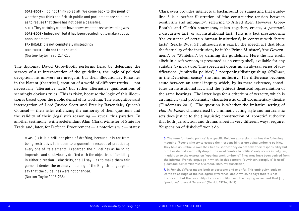Clark even provides intellectual background by suggesting that guideline 3 is a perfect illustration of 'the constructive tension between positivism and ambiguity', referring to Alfred Ayer. However, Gore-Booth's and Clark's statements, taken together, create, *a posteriori*, a discursive fact, or an institutional fact. This is a fact presupposing 'the existence of certain human institutions', in contrast with 'brute facts' (Searle 1969: 51), although it is exactly the speech act that blurs the factuality of the institution, be it 'the Prime Minister', 'the Government', or 'Whitehall', by defining the guidelines. Here the law itself, albeit in a soft version, is presented as an empty shell, available for any suitable (cynical) use. The speech act opens up an abyssal series of justifications ('umbrella politics'),**<sup>6</sup>** postponing/distinguishing (*différant*, in the Derridean sense)<sup> $7$ </sup> the final authority. The difference becomes acute between an actual inquiry which, by its mere existence, constitutes an institutional fact, and the (edited) theatrical representation of the same hearings. The latter begs for a criterium of veracity, which is an implicit (and problematic) characteristic of all documentary theatre (Tindemans 2013). The question is whether the imitative setting of *Half the Picture* characterised by a mimetic acting style and naturalistic sets does justice to the (linguistic) construction of 'aporetic' authority that both jurisdiction and drama, albeit in very different ways, require. 'Suspension of disbelief' won't do.

gore-booth I do not think so at all. We come back to the point of whether you think the British public and parliament are so dumb as to realise that there has not been a ceasefire. scott They certainly cannot have known what the revised wording was. gore-booth Indeed not, but it had been decided not to make a public announcement. baxendale It is not completely misleading? gore-booth I do not think so at all.

(Norton-Taylor 1995: 224-225)

The diplomat David Gore-Booth performs here, by defending the secrecy of a re-interpretation of the guidelines, the logic of political deception: his answers are arrogant, but their illocutionary force lies in the blatant (theatrical) creation of a world of different truths — not necessarily 'alternative facts' but rather alternative qualifications of seemingly obvious rules. This is risky, because the logic of this illocution is based upon the public denial of its working. The straightforward interrogation of Lord Justice Scott and Presiley Baxendale, Queen's Counsel — their titles enhancing the authority of their questions and the validity of their (legalistic) reasoning — reveal this paradox. In another testimony, witness/defendant Alan Clark, Minister of State for Trade and, later, for Defence Procurement — a notorious wit — states:

clark (…) It is a brilliant piece of drafting, because it is far from being restrictive. It is open to argument in respect of practically every one of its elements. I regarded the guidelines as being so imprecise and so obviously drafted with the objective of flexibility in either direction – elasticity, shall I say – as to make them fair game. It denies the ordinary meaning of the English language to say that the guidelines were not changed. (Norton-Taylor 1995, 238)

**6.** The term 'umbrella politics' is a specific Belgian expression that has the following meaning: 'People who try to escape their responsibilities are doing umbrella politics. They hold an umbrella over their heads, so that they do not take their responsibility but put it aside and eventually drop it. The word "umbrella politics" only occurs in Belgium, in addition to the expression "opening one's umbrella". They may have been derived from the informal French language in which, in this context, "ouvrir son parapluie" is used' (TeamTaaldavies Vlaamse Overheid, 2007, my translation)

**7.** In French, *différer* means both to postpone and to differ. This ambiguity leads to Derrida's coinage of the neologism *différance*, about which he says that it is not 'a concept, but the possibility of conceptuality itself, the playing movement that […] "produces" these differences' (Derrida 1972a, 11-12).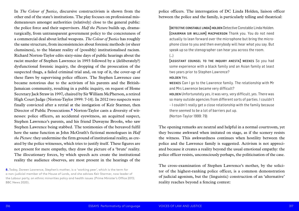police officers. The interrogation of DC Linda Holden, liaison officer between the police and the family, is particularly telling and theatrical:

[detective constable linda] holden Detective Constable Linda Holden. [chairman sir william] macpherson Thank you. You do not need actually to lean forward over the microphone but bring the microphone close to you and then everybody will hear what you say. But speak up so the stenographer can hear you across the room. (…)

[assistant counsel to the inquiry anesta] weekes So you had some experience with a black family and an Asian family at least two years prior to Stephen Lawrence? holden Yes.

weekes Can I go to the Lawrence family. The relationship with Mr and Mrs Lawrence became very difficult? holden Unfortunately yes, it was very, very difficult, yes. There was so many outside agencies from different sorts of parties. I couldn't – I couldn't really get a close relationship with the family because there seemed to be a lot of barriers put up. (Norton-Taylor 1999: 79)

The opening remarks are neutral and helpful in a normal courtroom, yet they become awkward when imitated on stage, as if the scenery resists the witness. This awkwardness continues when hostility between the police and the Lawrence family is suggested. Activism is not appreciated because it creates a reality beyond the usual emotional empathy: the police officer resists, unconsciously perhaps, the politicisation of the case.

The cross-examination of Stephen Lawrence's mother, by the solicitor of the highest-ranking police officer, is a common demonstration of judicial agonism, but the (linguistic) construction of an 'alternative' reality reaches beyond a fencing contest:

In *The Colour of Justice*, discursive constructivism is shown from the other end of the state's institutions. The play focuses on professional misdemeanours amongst authorities (relatively) close to the general public: the police force and their supervisors. *Half the Picture* builds up, dramaturgically, from untransparent government policy to the concreteness of a commercial deal about lethal weapons. *The Colour of Justice* has roughly the same structure, from inconsistencies about forensic methods (or sheer clumsiness), to the blatant reality of (possibly) institutionalised racism. Richard Norton-Taylor edits sixty-nine days of public hearings about the racist murder of Stephen Lawrence in 1993 followed by a (deliberately?) dysfunctional forensic inquiry, the dropping of the prosecution of the suspected thugs, a failed criminal trial and, on top of it, the cover-up of these flaws by supervising police officers. The Stephen Lawrence case became notorious due to the activism of his parents and the British-Jamaican community, resulting in a public inquiry, on request of Home Secretary Jack Straw in 1997, chaired by Sir William McPherson, a retired High Court Judge (Norton-Taylor 1999: 7-14). In 2012 two suspects were finally convicted after a retrial at the instigation of Keir Starmer, then Director of Public Prosecutions.<sup>8</sup> Norton-Taylor casts a diversity of witnesses: police officers, an accidental eyewitness, an acquitted suspect, Stephen Lawrence's parents, and his friend Duwayne Brooks, who saw Stephen Lawrence being stabbed. The testimonies of the bereaved fulfil here the same function as John McGrath's fictional monologues in *Half the Picture*: they undermine the firm ground of institutional reality, as created by the police witnesses, which tries to justify itself. These figures are not present for mere empathy, they draw the picture of a 'brute' reality. The illocutionary forces, by which speech acts create the institutional reality the audience observes, are most present in the hearings of the

**8.** Today, Doreen Lawrence, Stephen's mother, is a 'working peer', which is the term for a non-judicial member of the House of Lords, and she advises Keir Starmer, now leader of the Labour party, on ethnic minorities policy and health issues (Prime Minister's Office 2013; BBC News 2020).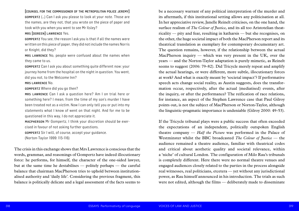be a necessary warrant of any political interpretation of the murder and its aftermath, if this institutional setting allows any politicisation at all. In her appreciative review, Janelle Reinelt criticises, on the one hand, the surface realism of *The Colour of Justice*, and its all too Aristotelian theatricality — pity and fear, resulting in katharsis — but she recognises, on the other, the huge societal impact of both the MacPherson report and its theatrical translation as exemplary for contemporary documentary art. The question remains, however, if the relationship between the actual MacPherson inquiry — which was very present in the UK, over the years — and the Norton-Taylor adaptation is purely mimetic, as Reinelt seems to suggest (2006: 79-82). Did Tricycle merely repeat and amplify the actual hearings, or were different, more subtle, illocutionary forces at work? And what is exactly meant by 'societal impact'? If performative speech acts change social reality, as Austin suggests, does the transformation occur, respectively, after the actual (mediatised) events, after the inquiry, or after the performance? The reification of race relations, for instance, an aspect of the Stephen Lawrence case that Paul Gilroy points out, is not the subject of MacPherson or Norton-Taylor, although the linguistic-pragmatic importance is undeniable (Gilroy 2000: 49-53).

If the Tricycle tribunal plays were a public success that often exceeded the expectations of an independent, politically outspoken English theatre company — *Half the Picture* was performed in the Palace of Westminster whilst the BBC broadcasted *The Colour of Justice* — the audience remained a theatre audience, familiar with theatrical codes and critical about aesthetic quality and societal relevance, within a 'niche' of cultural London. The configuration of Milo Rau's tribunals is completely different. Here there were no normal theatre venues and engaged audiences closely related to the parties in the process alongside real witnesses, real politicians, etcetera — yet without any jurisdictional power, as Rau himself announced in his introduction. The trials as such were not edited, although the films — deliberately made to disseminate

#### [counsel for the commissioner of the metropolitan police jeremy]

gompertz (…) Can I ask you please to look at your note. Those are the names, are they not, that you wrote on the piece of paper and took with you when you went to see Mr Ilsley?

## mrs [doreen] lawrence Yes.

gompertz You see, the reason I ask you is that if all the names were written on this piece of paper, they did not include the names Norris or Knight, did they?

mrs lawrence No, people were confused about the names when they came to us.

gompertz Can I ask you about something quite different now: your journey home from the hospital on the night in question. You went, did you not, to the Welcome Inn?

#### mrs lawrence No.

gompertz Where did you go then?

mrs lawrence Can I ask a question here? Am I on trial here or something here? I mean, from the time of my son's murder I have been treated not as a victim. Now I can only tell you or put into my statements what I know of went on that night. And for me to be questioned in this way, I do not appreciate it.

macpherson Mr Gompertz, I think your discretion should be exercised in favour of not asking further questions.

gompertz Sir I will, of course, accept your guidance.

(Norton-Taylor 1999: 115-116)

The crisis in this exchange shows that Mrs Lawrence is conscious that the words, grammar, and reasonings of Gompertz have indeed illocutionary force: he performs, for himself, the character of the one-sided lawyer, but at the same time he destabilises — politely perhaps — the careful balance that chairman MacPherson tries to uphold between institutionalised authority and 'daily life'. Considering the previous fragment, this balance is politically delicate and a legal assessment of the facts seems to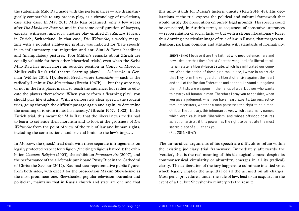this unity stands for Russia's historic unicity (Rau 2014: 48). His declarations at the trial express the political and cultural framework that would justify the prosecution on purely legal grounds. His speech could be considered, in Austin's terms, as sequences of constative utterances — representation of social facts — but with a strong illocutionary force, thus drawing a particular image of rule of law in Russia, that merges tendentious, partisan opinions and attitudes with standards of normativity.

shevshenko I believe it are the faithful who need defence, here and now. I declare that these 'artists' are the vanguard of a liberal-totalitarian state, a liberal-fascist state, which has infiltrated our country. When the action of these girls took place, I wrote in an article that they form the vanguard of a liberal offensive against the heart and soul of the Russian Federation and one should stand out against them. Artists are weapons in the hands of a dark power who wants to destroy all human in man. Therefore I pray you to consider, when you give a judgment, when you have heard experts, lawyers, solicitors, prosecutors, whether a man possesses the right to be a man. Or if, on the contrary, this inhuman power, which bears many names, which even calls itself 'liberalism' and whose offshoot postures as 'action artists', if this power has the right to penetrate the most sacred place of all. I thank you. (Rau 2014: 46-47)

The un-juridical arguments of his speech are difficult to refute within the existing judiciary trial framework. Immediately afterwards the 'verdict', that is the real meaning of this ideological context despite its commonsensical circularity or absurdity, emerges in all its (radical) clarity. The deliberation of the jury happens to culminate in a tied vote, which legally implies the acquittal of all the accused on all charges. Most penal procedures, under the rule of law, lead to an acquittal in the event of a tie, but Shevshenko reinterprets the result:

the statements Milo Rau made with the performances — are dramaturgically comparable to any process play, as a chronology of revelations, case after case. In May 2013 Milo Rau organised, only a few weeks after *Die Moskauer Prozesse*, and in the same configuration of lawyers, experts, witnesses, and jury, another play entitled *Die Zürcher Prozesse*  in Zürich, Switzerland. In that case, *Die Weltwoche*, a weekly magazine with a populist right-wing profile, was indicted for 'hate speech' in its inflammatory anti-migration and anti-Sinti & Roma headlines and (manipulated) pictures. Tobi Müller's remarks about Zürich are equally valuable for both other 'theatrical trials', even when the Swiss Milo Rau has much more an outsider position in Congo or Moscow. Müller calls Rau's trial theatre 'learning plays' — *Lehrstücke* in German (Müller 2014: 11). Bertolt Brecht wrote *Lehrstücke* — such as the radically Leninist *Die Massnahme* (Brecht 1967b) — but they were not, or not in the first place, meant to teach the audience, but rather to educate the players themselves: 'When you perform a 'learning play', you should play like students. With a deliberately clear speech, the student tries, going through the difficult passage again and again, to determine the meaning or to store it into his memory.' (Brecht 1967c: 1022). In the Zürich trial, this meant for Milo Rau that the liberal news media had to learn to set aside their moralism and to look at the grossness of *Die Weltwoche* from the point of view of the rule of law and human rights, including the constitutional and societal limits to the law's impact.

In Moscow, the (mock) trial dealt with three separate infringements on legally protected respect for religion ('inciting religious hatred'): the exhibition *Caution! Religion* (2003), the exhibition *Forbidden Art* (2007), and the performance of the all-female punk band Pussy Riot in the Cathedral of Christ the Saviour (2012). Rau had cast representative public figures from both sides, with expert for the prosecution Maxim Shevshenko as the most prominent one. Shevshenko, popular television journalist and politician, maintains that in Russia church and state are one and that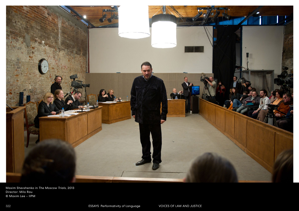

Maxim Shevshenko in *The Moscow Trials*, 2013 Director: Milo Rau © Maxim Lee – IIPM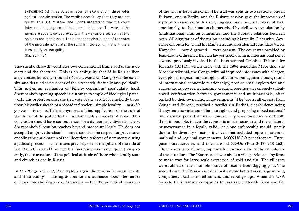of the trial is less outspoken. The trial was split in two sessions, one in Bukavu, one in Berlin, and the Bukavu session gave the impression of a people's assembly, with a very engaged audience, all linked, at least emotionally, to the situation characterised by civil war, exploitation by (multinational) mining companies, and the dubious relations between both. All dignitaries of the region, including Marcellin Cishambo, Governor of South Kivu and his Ministers, and presidential candidate Victor Kamarhe — now disgraced — were present. The court was presided by Jean-Louis Gilissen, a Belgian lawyer specialising in international penal law and previously involved in the International Criminal Tribunal for Rwanda (ICTR), which dealt with the 1994 genocide. More than the Moscow tribunal, the Congo tribunal inquired into issues with a larger, even global impact: human rights, of course, but against a background of international economic relationships, post-colonial exploitation and surreptitious power mechanisms, creating together an extremely unbalanced confrontation between governments and multinationals, often backed by their own national governments. The jurors, all experts from Congo and Europe, reached a verdict (in Berlin), clearly denouncing the systematic violation of human rights and proposing mixed national/ international penal tribunals. However, it proved much more difficult, if not impossible, to cast the economic misdemeanour and the collateral misgovernance in a legally valid, let alone enforceable mould, partly due to the diversity of actors involved that included representatives of national and regional governments, MONUSCO peacekeepers, European bureaucracies, and international NGOs (Rau 2017: 258-262). Three cases were chosen, supposedly representative of the complexity of the situation. The 'Banro-case' was about a village relocated by force to make way for large-scale extraction of gold and tin. The villagers were robbed of their humble source of income from digging gold. The second case, the 'Bisie-case', dealt with a conflict between large mining companies, local artisanal miners, and rebel groups. When the USA forbade their trading companies to buy raw materials from conflict

shevshenko (…) Three votes in favor [of a conviction], three votes against, one abstention. The verdict doesn't say that they are not guilty. This is a mistake, and I don't understand why the court interprets the judgment of the jurors in this sense. The votes of the jurors are equally divided, exactly in the way as our society has two opinions about this issue. I think that the distribution of the votes of the jurors demonstrates the schism in society. (…) In short, there is no 'guilty' or 'not guilty'. (Rau 2014: 154)

Shevshenko shrewdly conflates two conventional frameworks, the judiciary and the theatrical. This is an ambiguity that Milo Rau deliberately creates for every tribunal (Zürich, Moscow, Congo) via the extensive and detailed seriousness of their research, factually and politically. This makes an evaluation of 'felicity conditions' particularly hard. Shevshenko's opening speech is a strange example of ideological patchwork. His protest against the tied vote of the verdict is implicitly based upon his earlier sketch of a 'decadent' society: simple legality — *in dubio pro reo* — is not sufficient anymore, a blind application of the rule of law does not do justice to the fundamentals of society at stake. This conclusion should have consequences for a dangerously divided society: Shevshenko's illocution reaches beyond procedural logic. He does not accept that 'proceduralism' — understood as the respect for procedures enabling the anticipation of the illocutionary forces of statements during a judicial process — constitutes precisely one of the pillars of the rule of law. Rau's theatrical framework allows observers to see, quite transparently, the true nature of the political attitude of those who identify state and church as one in Russia.

In *Das Kongo Tribunal*, Rau exploits again the tension between legality and theatricality — raising doubts for the audience about the nature of illocution and degrees of factuality — but the polemical character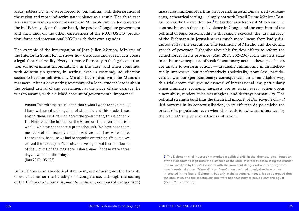massacres, millions of victims, heart-rending testimonials, petty bureaucrats, a theatrical setting — simply not with Israeli Prime Minister Ben-Gurion as the theatre director,**<sup>9</sup>** but rather artist-activist Milo Rau. The contrast between the actual violence in Congo and the emptiness of the political or legal responsibility is shockingly exposed: the 'dramaturgy' of the Eichmann-in-Jerusalem was much more linear, from badly disguised evil to the execution. The testimony of Miruho and the closing speech of governor Cishambo about his fruitless efforts to reform the armed forces in his province (Rau 2017: 232-236) form the first stage in a discursive sequence of weak illocutionary acts — these speech acts are unable to perform actions — gradually culminating in an intellectually impressive, but performatively (politically) powerless, pseudoverdict without (perlocutionary) consequences. In a remarkable way, this trial shows the 'groundlessness' of international law, particularly when immense economic interests are at stake: every action opens a new abyss, renders rules meaningless, and destroys normativity. The political strength (and thus the theatrical impact) of *Das Kongo Tribunal* lied however in its contextualisation, in its effort to de-polemicise the ordeal of a population, even when this leads to awkward utterances by the official 'lawgivers' in a lawless situation.

MIRUHO This witness is a student, that's what I want to say first. (...) I have welcomed a delegation of students, and this student was among them. First: talking about the government, this is not only the Minister of the Interior or the Governor. The government is a whole. We have sent there a protection unit. We have sent there members of our security council. And we ourselves were there, the next day, because we had to organize everything. We ourselves arrived the next day in Mutarule, and we organized there the burial of the victims of the massacre. I don't know, if these were three days. It were not three days. (Rau 2017: 195-196)

areas, jobless *creuseurs* were forced to join militia, with deterioration of the region and more indiscriminate violence as a result. The third case was an inquiry into a recent massacre in Mutarule, which demonstrated the inefficiency of, on the one hand, the passive Congolese government and army and, on the other, carelessness of the MONUSCO 'protection' force and international NGOs with their own agendas.

> **9.** The Eichmann trial in Jerusalem marked a political shift in the 'dramaturgical' function of the Holocaust to legitimise the existence of the state of Israel by associating the murder of 6 million Jews by Hitler's Germany with the imminent danger (of annihilation) from Israel's Arab neighbors. Prime Minister Ben-Gurion declared openly that he was not interested in the fate of Eichmann, but only in the spectacle. Indeed, it can be argued that the abduction and the spectacular trial were not necessary to prove Eichmann's guilt (Zertal 2005: 107-108).

The example of the interrogation of Jean-Julien Miruho, Minister of the Interior in South Kivu, shows how discourse and speech acts create a legal-theatrical reality. Every utterance fits neatly in the legal construction (of government accountability, in this case) and when combined with *decorum* (in gesture, in setting, even in costume), adjudication seems to become self-evident. Miruho had to deal with the Mutarule massacre. After a devastating testimony of a local student leader about the belated arrival of the government at the place of the carnage, he tries to answer, with a clichéd account of governmental impotence:

In itself, this is an anecdotical statement, reproducing not the banality of evil, but rather the banality of incompetence, although the setting of the Eichmann tribunal is, *mutatis mutandis*, comparable: (organised)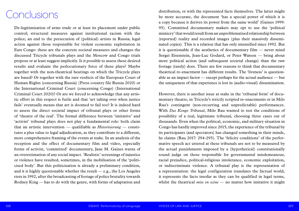distribution, or with the represented facts themselves. The latter might be more accurate, the document 'has a special power of which it is a copy because it derives its power from the same world' (Gaines 1999: 95). Committed documentary makers may opt to use the 'political mimicry' that would result from an unproblematised relationship between (reported) reality and recorded images (plus their massively disseminated copies). This is a relation that has only intensified since 1992. But it is questionable if the aesthetics of documentary film — never mind Sergei Eisenstein, Jean-Luc Godard, or Peter Watson — bring about more political action (and subsequent societal change) than the raw footage (rarely) does. There are few reasons to think that documentary theatrical re-enactment has different results. The 'liveness' is questionable as an impact factor — except perhaps for the actual audience — but the uniqueness of that experience is lost in (audio-visual) dissemination.

However, there is another issue at stake in the 'tribunal form' of documentary theatre, in Tricycle's strictly scripted re-enactments or in Milo Rau's contingent (non-recurring and unpredictable) performances. With *Das Kongo Tribunal*, Milo Rau wanted to test the conditions of possibility of a real, legitimate tribunal, choosing three cases out of thousands. Even when the political, economic, and military situation in Congo has hardly improved since 2015, the experience of the tribunal by its participants (and spectators) has changed something in their minds, he claims (Rau 2017: 294-295). The 'felicity conditions' of the performative speech act uttered at these tribunals are not to be measured by the actual punishments imposed by a (hypothetical) constitutionally sound judge on those responsible for governmental misdemeanour, racial prejudice, political-religious intolerance, economic exploitation, or indiscriminate violence. A tribunal play is the representation of a representation: the legal configuration translates the factual world, it represents the facts insofar as they can be qualified in legal terms, whilst the theatrical *mise en scène* — no matter how imitative it might

De-legitimisation of arms trade or at least its placement under public control; structural measures against institutional racism with the police; an end to the persecution of (political) artists in Russia; legal action against those responsible for violent economic exploitation in East Congo: these are the concrete societal measures and changes the discussed Tricycle tribunals plays and the Moscow and Congo trials propose or at least suggest implicitly. Is it possible to assess these desired results and evaluate the perlocutionary force of these plays? Maybe together with the non-theatrical hearings on which the Tricycle plays are based? Or together with the rare verdicts of the European Court of Human Rights (concerning Russia) (Press country file Russia 2020) or the International Criminal Court (concerning Congo) (International Criminal Court 2020)? Or are we forced to acknowledge that any artistic effort in this respect is futile and that 'art taking over when justice fails' eventually means that art is doomed to fail too? It is indeed hard to assess the direct societal impact of tribunal plays or other forms of 'theatre of the real'. The formal difference between 'imitative' and 'activist' tribunal plays does not play a fundamental role: both claim that an artistic intervention — qualifiable as *Historisierung* — constitutes a plus value to legal adjudication, as they contribute to a different, more comprehensive framing of the events at stake. In an analysis of the reception and the effect of documentary film and video, especially forms of activist, 'committed' documentary, Jane M. Gaines warns of an overestimation of any social impact. 'Realistic' screenings of injustice or violence have resulted, sometimes, in the mobilisation of the 'politicised body'. But this politicisation is already a preliminary condition, and it is highly questionable whether the result  $-e.g.,$  the Los Angeles riots in 1992, after the broadcasting of footage of police brutality towards Rodney King — has to do with the genre, with forms of adaptation and

## Conclusions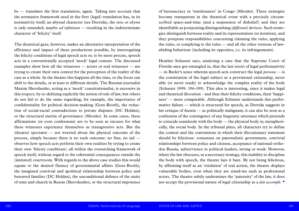of bureaucracy or 'statelessness' in Congo (Miruho). These strategies become transparent in the theatrical event with a precisely circumscribed space-and-time (and a suspension of disbelief) and they are identifiable as postponing/distinguishing (*différant*) devices. Such strategies distinguish between reality and its representation (or iteration), and they postpone responsibilities concerning claiming the rules, applying the rules, or complying to the rules — and all the other versions of lawabiding behaviour (including its opposites, i.e. its infringements).

Heather Schuster says, analysing a case that the Supreme Court of Florida once got entangled in, that the last resort of legal performativity — in Butler's sense wherein speech acts construct the legal *persona* — is the constitution of the legal subject as a provisional citizenship, never able (or never ready) to acknowledge the complex reality of the body (Schuster 1999: 196-199). This idea is interesting, since it makes legal and theatrical illocution – and thus their felicity conditions, their 'happiness' — more comparable. Although Schuster understands this performative failure — which is structural for speech, as Derrida suggests in his critique of Austin — as politically malignant, it can also be seen as a confession of the contingency of any linguistic utterance which pretends to coincide seamlessly with the body — the physical body or, metaphorically, the social body. In the tribunal plays, all characters try to define the context and the conventions in which their illocutionary statement should be felicitous: consensus on paternalistic government, convivial relationships between police and citizens, acceptance of national-orthodox Russia, subservience to political leaders, strong or weak. However, where the law obscures, as a necessary strategy, this inability to discipline the body with speech, the theatre lays it bare. By not being felicitous, by affirming itself as an 'etiolation' of real action, the theatre displays vulnerable bodies, even when they are stand-ins such as professional actors. The theatre subtly undermines the 'paternity' of the law, it does not accept the provisional nature of legal citizenship as a *fait accompli*. •

be — translates the first translation, again. Taking into account that the normative framework used in the first (legal) translation has, in its normativity itself, an abyssal character (see Derrida), the *mise en abyme*  is only extended, maybe *ad infinitum* — resulting in the indeterminate character of 'felicity' itself.

The theatrical gaze, however, makes an alternative interpretation of the efficiency and impact of these productions possible, by interrogating the felicity conditions of legal speech acts or, to be more precise, speech acts in a conventionally accepted 'mock' legal context. The discussed examples show how all the witnesses — actors or real witnesses — are trying to create their own context for the perception of the reality of the case as a whole. In the theatre this happens all the time, so the focus can shift to the details, or at least to different details. The Russian journalist Maxim Shevshenko, acting as a 'mock' constitutionalist, is excessive in this respect, by re-defining explicitly the notion of rule of law, but others do not fail to do the same regarding, for example, the importance of confidentiality for political decision-making (Gore-Booth), the reduction of social-racial contradictions to private disputes (DC Holden), or the structural inertia of governance (Miruho). In some cases, these affirmations (or even confessions) are to be seen as excuses for what these witnesses experience themselves as transgressive acts. But the (theatre) spectator  $-$  not worried about the physical outcome of the process, simply because there is no such outcome: no fine, no jail observes how speech acts perform their own realities by trying to create their own 'felicity conditions', all within the overarching framework of speech itself, without regard to the referential consequences outside the (imitated) courtroom. With regards to the above case studies this would equate to the desired fluency of governmental affairs (Gore-Booth), the imagined convivial and apolitical relationship between police and bereaved families (DC Holden), the unconditional defence of the unity of state and church in Russia (Shevshenko), or the structural impotence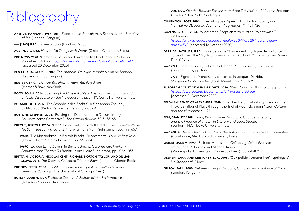**—— 1990/1999.** *Gender Trouble: Feminism and the Subversion of Identity*, 2nd edn

- (London / New York: Routledge)
- **CHARNOCK, ROSS. 2006.** 'Overruling as a Speech Act: Performativity and Normative Discourse', *Journal of Pragmatics*, 41: 401-426
- **COZENS, CLAIRE. 2004.** 'Widespread Scepticism to Hutton "Whitewash"' 29 January *[https://www.theguardian.com/media/2004/jan/29/huttoninquiry.](https://www.theguardian.com/media/2004/jan/29/huttoninquiry.davidkelly2) [davidkelly2](https://www.theguardian.com/media/2004/jan/29/huttoninquiry.davidkelly2)* [accessed 12 October 2020)
- **DERRIDA, JACQUES. 1990.** 'Force de loi: Le "fondement mystique de l'autorité" / 11: 919-1045
- **—— 1972A.** 'La différance', in Jacques Derrida, *Marges de la philosophie* (Paris: Minuit), pp. 1-29
- **—— 1972B.** 'Signature, événement, contexte', in Jacques Derrida, *Marges de la philosophie* (Paris: Minuit), pp. 365-393

Force of Law: The "Mystical Foundation of Authority'', *Cardozo Law Review*,

**EUROPEAN COURT OF HUMAN RIGHTS. 2020.** 'Press Country File Russia', September.

*[https://echr.coe.int/Documents/CP\\_Russia\\_ENG.pdf](https://echr.coe.int/Documents/CP_Russia_ENG.pdf)* [accessed 21 December 2020]

**FELDMAN, BENEDICT ALEXANDER. 2018.** 'The Theatre of Culpability: Reading the Tricycle's Tribunal Plays through the Trial of Adolf Eichmann', *Law, Culture* 

- *and the Humanities*: 1-22
- **FISH, STANLEY. 1989.** *Doing What Comes Naturally: Change, Rhetoric, and the Practice of Theory in Literary and Legal Studies* (Durham, N.C.: Duke University Press)
- **—— 1980.** *Is There a Text in This Class? The Authority of Interpretive Communities* (Cambridge, MA: Harvard University Press)
- **GAINES, JANE M. 1999.** 'Political Mimesis', in *Collecting Visible Evidence*, ed. by Jane M. Gaines and Michael Renov (Minneapolis: University of Minnesota Press), pp. 84-102
- *De Standaard*, 2 May
- **GILROY, PAUL. 2000.** *Between Camps: Nations, Cultures and the Allure of Race* (London: Penguin)

**GEENEN, SARA, AND KRISTOF TYTECA. 2008.** 'Ook politiek theater heeft spelregels',

- **ARENDT, HANNAH. [1964] 2011.** *Eichmann in Jerusalem. A Report on the Banality of Evil* (London: Penguin)
- **—— [1963] 1990.** *On Revolution* (London: Penguin)
- **AUSTIN, J.L. 1962.** *How to Do Things with Words* (Oxford: Clarendon Press)
- **BBC NEWS. 2020.** 'Coronavirus: Doreen Lawrence to Head Labour Probe on Minorities'. 24 April, *<https://www.bbc.com/news/uk-politics-52405243>* [accessed 20 December 2020]
- **BEN CHIKHA, CHOKRI. 2017.** *Zoo Humain: De blijde terugkeer van de barbaar* (Leuven: LannooCampus)
- **BENTLEY, ERIC. 1972.** *Are You Now or Have You Ever Been* (Harper & Row: New York)
- **BOOS, SONJA. 2014.** *Speaking the Unspeakable in Postwar Germany: Toward a Public Discourse on the Holocaust* (Ithaca, NY: Cornell University Press)
- **BOSSART, ROLF. 2017.** 'Die Schönheit des Rechts', in *Das Kongo Tribunal*, by Milo Rau (Berlin: Verbrecher Verlag), pp. 8-14
- **BOTTOMS, STEPHEN. 2006.** 'Putting the Document into Documentary: An Unwelcome Corrective?', *The Drama Review*, 50.3: 56-68
- **BRECHT, BERTOLT. 1967A.** 'Der Messingkauf', in Bertolt Brecht, *Gesammelte Werke 16: Schriften zum Theater 2* (Frankfurt am Main: Suhrkamp), pp. 499-657
- **—— 1967B.** 'Die Massnahme', in Bertolt Brecht, *Gesammelte Werke 2: Stücke 21* (Frankfurt am Main: Suhrkamp), pp. 631-664
- **—— 1967C.** 'Zu den Lehrstücken', in Bertolt Brecht, *Gesammelte Werke 17: Schriften zum Theater 3* (Frankfurt am Main: Suhrkamp), pp. 1022-1035
- **BRITTAIN, VICTORIA, NICOLAS KENT, RICHARD NORTON-TAYLOR, AND GILLIAN SLOVO. 2014.** *The Tricycle: Collected Tribunal Plays* (London: Oberon Books)
- **BROOKS, PETER. 2000.** *Troubling Confessions: Speaking Guilt in Law and Literature* (Chicago: The University of Chicago Press)
- **BUTLER, JUDITH. 1997.** *Excitable Speech: A Politics of the Performative* (New York / London: Routledge)

# Bibliography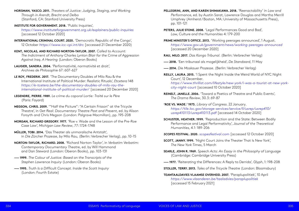**PELLEGRINI, ANN, AND KAREN SHIMAKAWA. 2018.** 'Reenactability' in *Law and Performance*, ed. by Austin Sarat, Lawrence Douglas and Martha Merrill Umphrey (Amherst / Boston, MA: University of Massachusetts Press), pp. 101-121

**PETERS, JULIE STONE. 2008.** 'Legal Performances Good and Bad', *Law, Culture and the Humanities* 4: 179-200

**PRIME MINISTER'S OFFICE. 2013.** 'Working peerages announced', 1 August. *<https://www.gov.uk/government/news/working-peerages-announced>* [accessed 20 December 2020]

*[https://www.thrillist.com/lifestyle/new-york/i-was-a-tourist-at-new-york-](https://www.thrillist.com/lifestyle/new-york/i-was-a-tourist-at-new-york-city-night-court)*

- **RAU, MILO. 2017.** *Das Kongo Tribunal*. (Berlin: Verbrecher Verlag)
- **—— 2018.** 'Een tribunaal als mogelijkheid', *De Standaard*, 11 May
- **—— 2014.** *Die Moskauer Prozesse*. (Berlin: Verbrecher Verlag)
- **REILLY, LAURA. 2015.** 'I Spent the Night Inside the Weird World of NYC Night Court', 12 December. *[city-night-court](https://www.thrillist.com/lifestyle/new-york/i-was-a-tourist-at-new-york-city-night-court)* [accessed 10 October 2020]
- **REINELT, JANELLE. 2006.** 'Toward a Poetics of Theatre and Public Events', *The Drama Review*, 30.3: 69-87
- **'ROE VS. WADE.' 1973.** *Library of Congress*. 22 January. *[https://tile.loc.gov/storage-services/service/ll/usrep/usrep410/](https://tile.loc.gov/storage-services/service/ll/usrep/usrep410/usrep410113/usrep410113.pdf) [usrep410113/usrep410113.pdf](https://tile.loc.gov/storage-services/service/ll/usrep/usrep410/usrep410113/usrep410113.pdf)* [accessed 14 October 2020]
- **SCHUSTER, HEATHER. 1999.** 'Reproduction and the State: Between Bodily Performance and Legal Performativity', *Journal of the Theoretical Humanities*, 4.1: 189-206

## *SCOPES FESTIVAL***. 2020.** *[scopesfestival.com](http://www.scopesfestival.com)* [accessed 12 October 2020]

- **SCOTT, JANNY. 1999.** 'Night Court Joins the Theater That Is New York', *The New York Times*, 5 March
- **SEARLE, JOHN R. 1969.** *Speech Acts: An Essay in the Philosophy of Language* (Cambridge: Cambridge University Press)
- **—— 1977.** 'Reiterating the Differences: A Reply to Derrida', *Glyph*, 1: 198-208
- **STOLLER, TERRY. 2013.** *Tales of the Tricycle Theatre* (London: Bloomsbury)

## **TEAMTAALDAVIES VLAAMSE OVERHEID. 2007.** 'Paraplupolitiek', 10 April

*<https://www.vlaanderen.be/taaladvies/paraplupolitiek>* [accessed 15 February 2021]

**HORSMAN, YASCO. 2011.** *Theaters of Justice: Judging, Staging, and Working Through in Arendt, Brecht and Delbo* (Stanford, CA: Stanford University Press)

**INSTITUTE FOR GOVERNMENT. 2018.** 'Public Inquiries', *<https://www.instituteforgovernment.org.uk/explainers/public-inquiries>* [accessed 12 October 2020]

- **INTERNATIONAL CRIMINAL COURT. 2020.** 'Democratic Republic of the Congo', 12 October *<https://www.icc-cpi.int/drc>* [accessed 21 December 2020)
- **KENT, NICOLAS, AND RICHARD NORTON-TAYLOR. 2007.** *Called to Account: The Indictment of Anthony Charles Lynton Blair for the Crime of Aggression Against Iraq. A Hearing* (London: Oberon Books)
- **LAUGIER, SANDRA. 2004.** 'Performativité, normativité et droit', *Archives de Philosophie* 67: 607-627
- **LE ROY, FREDERIK. 2017.** 'The Documentary Doubles of Milo Rau & the International Institute of Political Murder: Realistic Rituals', *Etcetera* 148 *[https://e-tcetera.be/the-documentary-doubles-of-milo-rau-the](https://e-tcetera.be/the-documentary-doubles-of-milo-rau-the-international-institute-of-political-murder/)[international-institute-of-political-murder/](https://e-tcetera.be/the-documentary-doubles-of-milo-rau-the-international-institute-of-political-murder/)* [accessed 20 December 2020]
- **LEGENDRE, PIERRE. 1989.** *Le crime du caporal Lortie: Traité sur le Père* (Paris: Fayard)
- **MEGSON, CHRIS. 2009.** '"Half the Picture": "A Certain Frisson" at the Tricycle Theatre', in *Get Real: Documentary Theatre Past and Present*, ed. by Alison Forsyth and Chris Megson (London: Palgrave Macmillan), pp. 195-208
- **MORGAN, RICHARD GREGORY. 1977.** 'Roe v. Wade and the Lesson of the Pre-Roe Case Law', *Michigan Law Review*, 77: 1724-1748
- **MÜLLER, TOBI. 2014.** 'Das Theater als unmoralische Antstalt', in *Die Zürcher Prozesse*, by Milo Rau, (Berlin: Verbrecher Verlag), pp. 10-15
- **NORTON-TAYLOR, RICHARD. 2008.** 'Richard Norton-Taylor', in *Verbatim Verbatim: Contemporary Documentary Theatre*, ed. by Will Hammond and Dan Steward (London: Oberon Books), pp. 103-131
- **—— 1999.** *The Colour of Justice: Based on the Transcripts of the Stephen Lawrence Inquiry* (London: Oberon Books)
- **—— 1995.** *Truth Is a Difficult Concept. Inside the Scott Inquiry*  (London: Fourth Estate)